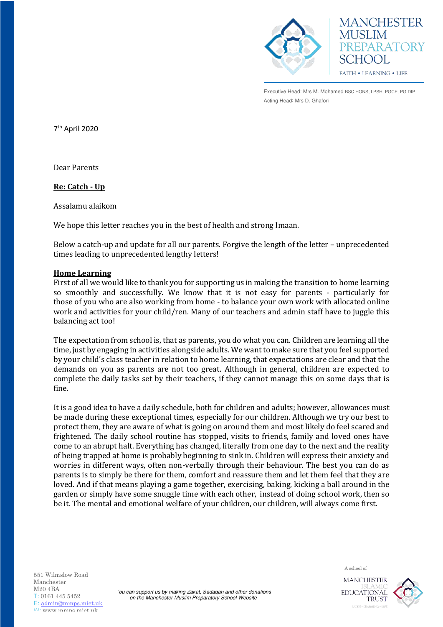



Executive Head: Mrs M. Mohamed BSC.HONS, LPSH, PGCE, PG.DIP Acting Head: Mrs D. Ghafori

7 th April 2020

Dear Parents

**Re: Catch - Up** 

Assalamu alaikom

We hope this letter reaches you in the best of health and strong Imaan.

Below a catch-up and update for all our parents. Forgive the length of the letter – unprecedented times leading to unprecedented lengthy letters!

#### **Home Learning**

First of all we would like to thank you for supporting us in making the transition to home learning so smoothly and successfully. We know that it is not easy for parents - particularly for those of you who are also working from home - to balance your own work with allocated online work and activities for your child/ren. Many of our teachers and admin staff have to juggle this balancing act too!

The expectation from school is, that as parents, you do what you can. Children are learning all the time, just by engaging in activities alongside adults. We want to make sure that you feel supported by your child's class teacher in relation to home learning, that expectations are clear and that the demands on you as parents are not too great. Although in general, children are expected to complete the daily tasks set by their teachers, if they cannot manage this on some days that is fine.

It is a good idea to have a daily schedule, both for children and adults; however, allowances must be made during these exceptional times, especially for our children. Although we try our best to protect them, they are aware of what is going on around them and most likely do feel scared and frightened. The daily school routine has stopped, visits to friends, family and loved ones have come to an abrupt halt. Everything has changed, literally from one day to the next and the reality of being trapped at home is probably beginning to sink in. Children will express their anxiety and worries in different ways, often non-verbally through their behaviour. The best you can do as parents is to simply be there for them, comfort and reassure them and let them feel that they are loved. And if that means playing a game together, exercising, baking, kicking a ball around in the garden or simply have some snuggle time with each other, instead of doing school work, then so be it. The mental and emotional welfare of your children, our children, will always come first.

551 Wilmslow Road Manchester M20 4BA T: 0161 445 5452 E: [admin@mmps.miet.uk](mailto:admin@mmps.miet.uk) W: www.mmne.miet.uk

'ou can support us by making Zakat, Sadaqah and other donations on the Manchester Muslim Preparatory School Website

A school of

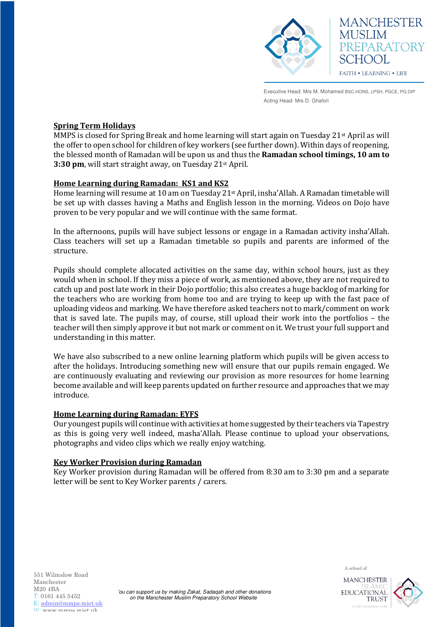



Executive Head: Mrs M. Mohamed BSC.HONS, LPSH, PGCE, PG.DIP Acting Head: Mrs D. Ghafori

### **Spring Term Holidays**

MMPS is closed for Spring Break and home learning will start again on Tuesday 21st April as will the offer to open school for children of key workers (see further down). Within days of reopening, the blessed month of Ramadan will be upon us and thus the **Ramadan school timings, 10 am to 3:30 pm**, will start straight away, on Tuesday 21st April.

## **Home Learning during Ramadan: KS1 and KS2**

Home learning will resume at 10 am on Tuesday 21st April, insha'Allah. A Ramadan timetable will be set up with classes having a Maths and English lesson in the morning. Videos on Dojo have proven to be very popular and we will continue with the same format.

In the afternoons, pupils will have subject lessons or engage in a Ramadan activity insha'Allah. Class teachers will set up a Ramadan timetable so pupils and parents are informed of the structure.

Pupils should complete allocated activities on the same day, within school hours, just as they would when in school. If they miss a piece of work, as mentioned above, they are not required to catch up and post late work in their Dojo portfolio; this also creates a huge backlog of marking for the teachers who are working from home too and are trying to keep up with the fast pace of uploading videos and marking. We have therefore asked teachers not to mark/comment on work that is saved late. The pupils may, of course, still upload their work into the portfolios – the teacher will then simply approve it but not mark or comment on it. We trust your full support and understanding in this matter.

We have also subscribed to a new online learning platform which pupils will be given access to after the holidays. Introducing something new will ensure that our pupils remain engaged. We are continuously evaluating and reviewing our provision as more resources for home learning become available and will keep parents updated on further resource and approaches that we may introduce.

### **Home Learning during Ramadan: EYFS**

Our youngest pupils will continue with activities at home suggested by their teachers via Tapestry as this is going very well indeed, masha'Allah. Please continue to upload your observations, photographs and video clips which we really enjoy watching.

# **Key Worker Provision during Ramadan**

Key Worker provision during Ramadan will be offered from 8:30 am to 3:30 pm and a separate letter will be sent to Key Worker parents / carers.

551 Wilmslow Road Manchester M20 4BA T: 0161 445 5452 E: [admin@mmps.miet.uk](mailto:admin@mmps.miet.uk) W: www.mmne.miet.uk



**TRUST** 

A school of